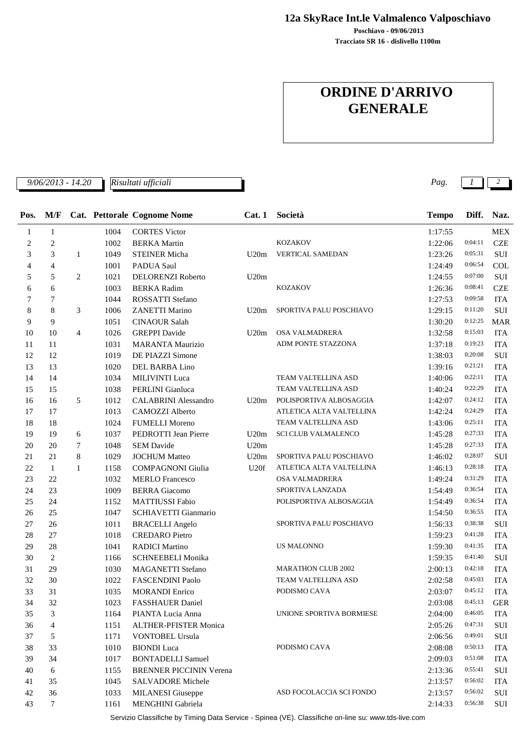**12a SkyRace Int.le Valmalenco Valposchiavo**

**Tracciato SR 16 - dislivello 1100m Poschiavo - 09/06/2013**

## **ORDINE D'ARRIVO GENERALE**

*9/06/2013 - 14.20 Pag. 1 2 Risultati ufficiali*

| Pos.           | M/F            |                |      | Cat. Pettorale Cognome Nome  |      | Cat. 1 Società             | <b>Tempo</b> | Diff.   | Naz.       |
|----------------|----------------|----------------|------|------------------------------|------|----------------------------|--------------|---------|------------|
| 1              | $\mathbf{1}$   |                | 1004 | <b>CORTES Victor</b>         |      |                            | 1:17:55      |         | <b>MEX</b> |
| $\mathfrak{2}$ | $\overline{c}$ |                | 1002 | <b>BERKA</b> Martin          |      | <b>KOZAKOV</b>             | 1:22:06      | 0:04:11 | <b>CZE</b> |
| 3              | 3              | $\mathbf{1}$   | 1049 | <b>STEINER Micha</b>         | U20m | VERTICAL SAMEDAN           | 1:23:26      | 0:05:31 | SUI        |
| $\overline{4}$ | 4              |                | 1001 | PADUA Saul                   |      |                            | 1:24:49      | 0:06:54 | COL        |
| 5              | 5              | $\overline{2}$ | 1021 | DELORENZI Roberto            | U20m |                            | 1:24:55      | 0:07:00 | SUI        |
| 6              | 6              |                | 1003 | <b>BERKA Radim</b>           |      | <b>KOZAKOV</b>             | 1:26:36      | 0:08:41 | <b>CZE</b> |
| $\tau$         | 7              |                | 1044 | ROSSATTI Stefano             |      |                            | 1:27:53      | 0:09:58 | <b>ITA</b> |
| 8              | 8              | 3              | 1006 | <b>ZANETTI Marino</b>        | U20m | SPORTIVA PALU POSCHIAVO    | 1:29:15      | 0:11:20 | <b>SUI</b> |
| 9              | 9              |                | 1051 | <b>CINAOUR Salah</b>         |      |                            | 1:30:20      | 0:12:25 | <b>MAR</b> |
| 10             | 10             | $\overline{4}$ | 1026 | <b>GREPPI</b> Davide         | U20m | <b>OSA VALMADRERA</b>      | 1:32:58      | 0:15:03 | <b>ITA</b> |
| 11             | 11             |                | 1031 | <b>MARANTA Maurizio</b>      |      | ADM PONTE STAZZONA         | 1:37:18      | 0:19:23 | <b>ITA</b> |
| 12             | 12             |                | 1019 | DE PIAZZI Simone             |      |                            | 1:38:03      | 0:20:08 | SUI        |
| 13             | 13             |                | 1020 | DEL BARBA Lino               |      |                            | 1:39:16      | 0:21:21 | <b>ITA</b> |
| 14             | 14             |                | 1034 | <b>MILIVINTI</b> Luca        |      | TEAM VALTELLINA ASD        | 1:40:06      | 0:22:11 | <b>ITA</b> |
| 15             | 15             |                | 1038 | PERLINI Gianluca             |      | TEAM VALTELLINA ASD        | 1:40:24      | 0:22:29 | <b>ITA</b> |
| 16             | 16             | 5              | 1012 | <b>CALABRINI</b> Alessandro  | U20m | POLISPORTIVA ALBOSAGGIA    | 1:42:07      | 0:24:12 | <b>ITA</b> |
| 17             | 17             |                | 1013 | <b>CAMOZZI Alberto</b>       |      | ATLETICA ALTA VALTELLINA   | 1:42:24      | 0:24:29 | <b>ITA</b> |
| 18             | 18             |                | 1024 | <b>FUMELLI Moreno</b>        |      | TEAM VALTELLINA ASD        | 1:43:06      | 0:25:11 | <b>ITA</b> |
| 19             | 19             | 6              | 1037 | PEDROTTI Jean Pierre         | U20m | <b>SCI CLUB VALMALENCO</b> | 1:45:28      | 0:27:33 | <b>ITA</b> |
| 20             | 20             | 7              | 1048 | <b>SEM Davide</b>            | U20m |                            | 1:45:28      | 0:27:33 | <b>ITA</b> |
| 21             | 21             | 8              | 1029 | <b>JOCHUM Matteo</b>         | U20m | SPORTIVA PALU POSCHIAVO    | 1:46:02      | 0:28:07 | SUI        |
| 22             | 1              | 1              | 1158 | <b>COMPAGNONI Giulia</b>     | U20f | ATLETICA ALTA VALTELLINA   | 1:46:13      | 0:28:18 | <b>ITA</b> |
| 23             | 22             |                | 1032 | <b>MERLO</b> Francesco       |      | OSA VALMADRERA             | 1:49:24      | 0:31:29 | <b>ITA</b> |
| 24             | 23             |                | 1009 | <b>BERRA</b> Giacomo         |      | SPORTIVA LANZADA           | 1:54:49      | 0:36:54 | <b>ITA</b> |
| 25             | 24             |                | 1152 | MATTIUSSI Fabio              |      | POLISPORTIVA ALBOSAGGIA    | 1:54:49      | 0:36:54 | <b>ITA</b> |
| 26             | 25             |                | 1047 | SCHIAVETTI Gianmario         |      |                            | 1:54:50      | 0:36:55 | <b>ITA</b> |
| 27             | 26             |                | 1011 | <b>BRACELLI Angelo</b>       |      | SPORTIVA PALU POSCHIAVO    | 1:56:33      | 0:38:38 | SUI        |
| 28             | 27             |                | 1018 | <b>CREDARO</b> Pietro        |      |                            | 1:59:23      | 0:41:28 | <b>ITA</b> |
| 29             | 28             |                | 1041 | <b>RADICI Martino</b>        |      | <b>US MALONNO</b>          | 1:59:30      | 0:41:35 | <b>ITA</b> |
| 30             | 2              |                | 1166 | <b>SCHNEEBELI Monika</b>     |      |                            | 1:59:35      | 0:41:40 | <b>SUI</b> |
| 31             | 29             |                | 1030 | <b>MAGANETTI Stefano</b>     |      | <b>MARATHON CLUB 2002</b>  | 2:00:13      | 0:42:18 | <b>ITA</b> |
| 32             | 30             |                | 1022 | <b>FASCENDINI Paolo</b>      |      | TEAM VALTELLINA ASD        | 2:02:58      | 0:45:03 | <b>ITA</b> |
| 33             | 31             |                | 1035 | <b>MORANDI Enrico</b>        |      | PODISMO CAVA               | 2:03:07      | 0:45:12 | <b>ITA</b> |
| 34             | 32             |                | 1023 | <b>FASSHAUER Daniel</b>      |      |                            | 2:03:08      | 0:45:13 | <b>GER</b> |
| 35             | 3              |                | 1164 | PIANTA Lucia Anna            |      | UNIONE SPORTIVA BORMIESE   | 2:04:00      | 0:46:05 | <b>ITA</b> |
| 36             | $\overline{4}$ |                | 1151 | <b>ALTHER-PFISTER Monica</b> |      |                            | 2:05:26      | 0:47:31 | SUI        |
| 37             | 5              |                | 1171 | <b>VONTOBEL Ursula</b>       |      |                            | 2:06:56      | 0:49:01 | <b>SUI</b> |
| 38             | 33             |                | 1010 | <b>BIONDI</b> Luca           |      | PODISMO CAVA               | 2:08:08      | 0:50:13 | <b>ITA</b> |

43 7 1161 MENGHINI Gabriela 2:14:33 0:56:38 SUI Servizio Classifiche by Timing Data Service - Spinea (VE). Classifiche on-line su: www.tds-live.com

39 1017 BONTADELLI Samuel 34 2:09:03 0:51:08 ITA 40 6 1155 BRENNER PICCININ Verena 2:13:36 0:55:41 SUI 41 1045 SALVADORE Michele 35 2:13:57 0:56:02 ITA 42 36 1033 MILANESI Giuseppe 36 ASD FOCOLACCIA SCI FONDO 2:13:57 0:56:02 SUI